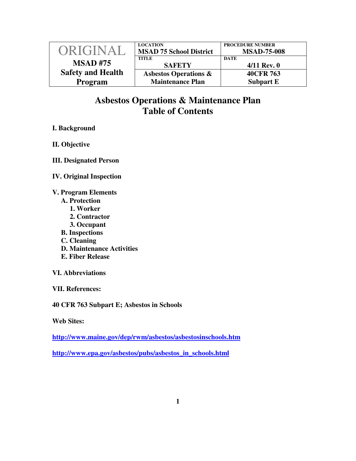| ORIGINAL                 | <b>LOCATION</b><br><b>MSAD 75 School District</b> | <b>PROCEDURE NUMBER</b><br><b>MSAD-75-008</b> |
|--------------------------|---------------------------------------------------|-----------------------------------------------|
| <b>MSAD#75</b>           | <b>TITLE</b><br><b>SAFETY</b>                     | <b>DATE</b><br>$4/11$ Rev. 0                  |
| <b>Safety and Health</b> | <b>Asbestos Operations &amp;</b>                  | 40CFR 763                                     |
| Program                  | <b>Maintenance Plan</b>                           | <b>Subpart E</b>                              |

## **Asbestos Operations & Maintenance Plan Table of Contents**

## **I. Background**

**II. Objective** 

**III. Designated Person** 

**IV. Original Inspection** 

**V. Program Elements** 

- **A. Protection** 
	- **1. Worker**
	- **2. Contractor**
	- **3. Occupant**
- **B. Inspections**
- **C. Cleaning**
- **D. Maintenance Activities**
- **E. Fiber Release**
- **VI. Abbreviations**

**VII. References:** 

**40 CFR 763 Subpart E; Asbestos in Schools** 

**Web Sites:** 

**http://www.maine.gov/dep/rwm/asbestos/asbestosinschools.htm**

**http://www.epa.gov/asbestos/pubs/asbestos\_in\_schools.html**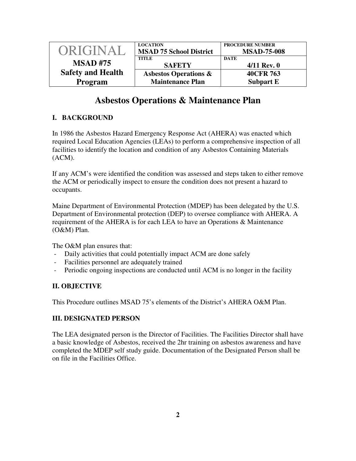| ORIGINAL                 | <b>LOCATION</b><br><b>MSAD 75 School District</b> | <b>PROCEDURE NUMBER</b><br><b>MSAD-75-008</b> |
|--------------------------|---------------------------------------------------|-----------------------------------------------|
| <b>MSAD#75</b>           | <b>TITLE</b><br><b>SAFETY</b>                     | <b>DATE</b><br>$4/11$ Rev. 0                  |
| <b>Safety and Health</b> | <b>Asbestos Operations &amp;</b>                  | 40CFR 763                                     |
| <b>Program</b>           | <b>Maintenance Plan</b>                           | <b>Subpart E</b>                              |

# **Asbestos Operations & Maintenance Plan**

## **I. BACKGROUND**

In 1986 the Asbestos Hazard Emergency Response Act (AHERA) was enacted which required Local Education Agencies (LEAs) to perform a comprehensive inspection of all facilities to identify the location and condition of any Asbestos Containing Materials (ACM).

If any ACM's were identified the condition was assessed and steps taken to either remove the ACM or periodically inspect to ensure the condition does not present a hazard to occupants.

Maine Department of Environmental Protection (MDEP) has been delegated by the U.S. Department of Environmental protection (DEP) to oversee compliance with AHERA. A requirement of the AHERA is for each LEA to have an Operations & Maintenance (O&M) Plan.

The O&M plan ensures that:

- Daily activities that could potentially impact ACM are done safely
- Facilities personnel are adequately trained
- Periodic ongoing inspections are conducted until ACM is no longer in the facility

## **II. OBJECTIVE**

This Procedure outlines MSAD 75's elements of the District's AHERA O&M Plan.

## **III. DESIGNATED PERSON**

The LEA designated person is the Director of Facilities. The Facilities Director shall have a basic knowledge of Asbestos, received the 2hr training on asbestos awareness and have completed the MDEP self study guide. Documentation of the Designated Person shall be on file in the Facilities Office.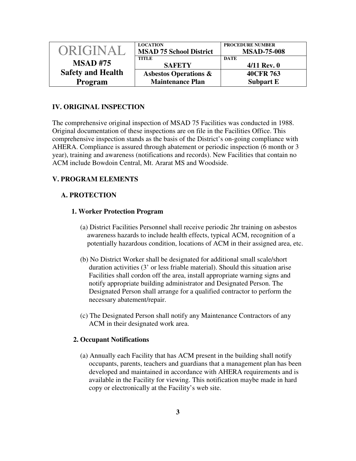| ORIGINAL                 | <b>LOCATION</b>                                | <b>PROCEDURE NUMBER</b>           |
|--------------------------|------------------------------------------------|-----------------------------------|
|                          | <b>MSAD 75 School District</b><br><b>TITLE</b> | <b>MSAD-75-008</b><br><b>DATE</b> |
| <b>MSAD#75</b>           | <b>SAFETY</b>                                  | $4/11$ Rev. 0                     |
| <b>Safety and Health</b> | <b>Asbestos Operations &amp;</b>               | 40CFR 763                         |
| Program                  | <b>Maintenance Plan</b>                        | <b>Subpart E</b>                  |

## **IV. ORIGINAL INSPECTION**

The comprehensive original inspection of MSAD 75 Facilities was conducted in 1988. Original documentation of these inspections are on file in the Facilities Office. This comprehensive inspection stands as the basis of the District's on-going compliance with AHERA. Compliance is assured through abatement or periodic inspection (6 month or 3 year), training and awareness (notifications and records). New Facilities that contain no ACM include Bowdoin Central, Mt. Ararat MS and Woodside.

## **V. PROGRAM ELEMENTS**

### **A. PROTECTION**

#### **1. Worker Protection Program**

- (a) District Facilities Personnel shall receive periodic 2hr training on asbestos awareness hazards to include health effects, typical ACM, recognition of a potentially hazardous condition, locations of ACM in their assigned area, etc.
- (b) No District Worker shall be designated for additional small scale/short duration activities (3' or less friable material). Should this situation arise Facilities shall cordon off the area, install appropriate warning signs and notify appropriate building administrator and Designated Person. The Designated Person shall arrange for a qualified contractor to perform the necessary abatement/repair.
- (c) The Designated Person shall notify any Maintenance Contractors of any ACM in their designated work area.

#### **2. Occupant Notifications**

(a) Annually each Facility that has ACM present in the building shall notify occupants, parents, teachers and guardians that a management plan has been developed and maintained in accordance with AHERA requirements and is available in the Facility for viewing. This notification maybe made in hard copy or electronically at the Facility's web site.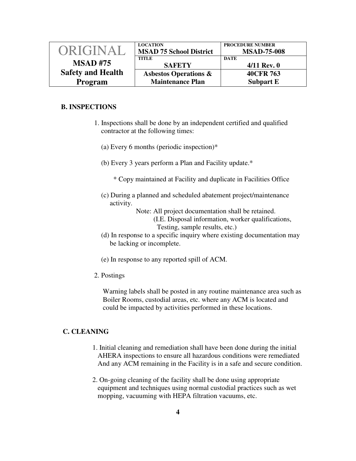| ORIGINAL                 | <b>LOCATION</b><br><b>MSAD 75 School District</b> | <b>PROCEDURE NUMBER</b><br><b>MSAD-75-008</b> |
|--------------------------|---------------------------------------------------|-----------------------------------------------|
| <b>MSAD#75</b>           | <b>TITLE</b><br><b>SAFETY</b>                     | <b>DATE</b><br>$4/11$ Rev. 0                  |
| <b>Safety and Health</b> | <b>Asbestos Operations &amp;</b>                  | 40CFR 763                                     |
| Program                  | <b>Maintenance Plan</b>                           | <b>Subpart E</b>                              |

#### **B. INSPECTIONS**

- 1. Inspections shall be done by an independent certified and qualified contractor at the following times:
	- (a) Every 6 months (periodic inspection)\*
	- (b) Every 3 years perform a Plan and Facility update.\*
		- \* Copy maintained at Facility and duplicate in Facilities Office
	- (c) During a planned and scheduled abatement project/maintenance activity.
		- Note: All project documentation shall be retained.
			- (I.E. Disposal information, worker qualifications, Testing, sample results, etc.)
	- (d) In response to a specific inquiry where existing documentation may be lacking or incomplete.
	- (e) In response to any reported spill of ACM.
- 2. Postings

 Warning labels shall be posted in any routine maintenance area such as Boiler Rooms, custodial areas, etc. where any ACM is located and could be impacted by activities performed in these locations.

#### **C. CLEANING**

- 1. Initial cleaning and remediation shall have been done during the initial AHERA inspections to ensure all hazardous conditions were remediated And any ACM remaining in the Facility is in a safe and secure condition.
- 2. On-going cleaning of the facility shall be done using appropriate equipment and techniques using normal custodial practices such as wet mopping, vacuuming with HEPA filtration vacuums, etc.